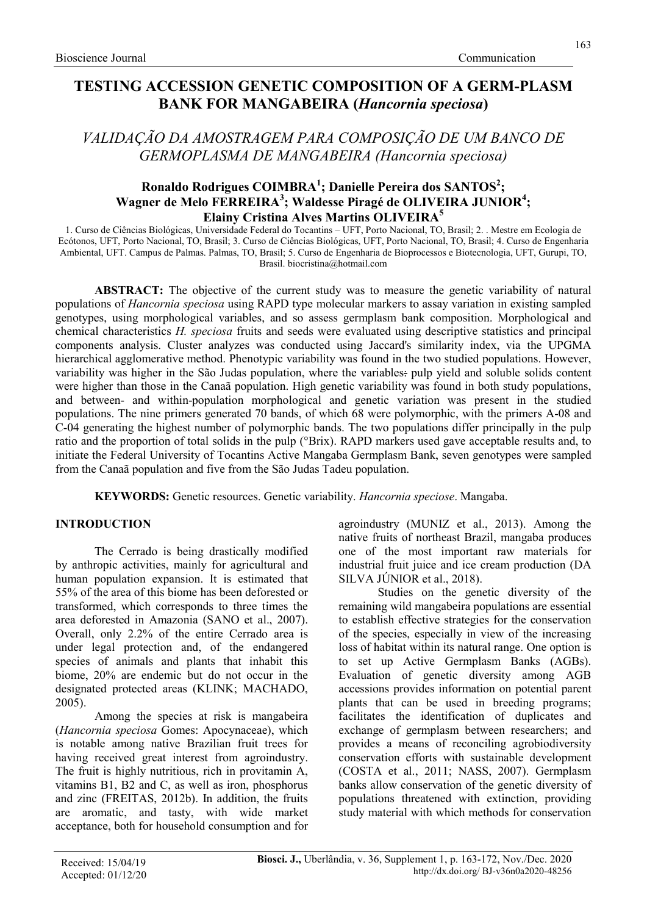# TESTING ACCESSION GENETIC COMPOSITION OF A GERM-PLASM BANK FOR MANGABEIRA (Hancornia speciosa)

VALIDAÇÃO DA AMOSTRAGEM PARA COMPOSIÇÃO DE UM BANCO DE GERMOPLASMA DE MANGABEIRA (Hancornia speciosa)

# Ronaldo Rodrigues COIMBRA<sup>1</sup>; Danielle Pereira dos SANTOS<sup>2</sup>; Wagner de Melo FERREIRA<sup>3</sup>; Waldesse Piragé de OLIVEIRA JUNIOR<sup>4</sup>; Elainy Cristina Alves Martins OLIVEIRA<sup>5</sup>

1. Curso de Ciências Biológicas, Universidade Federal do Tocantins – UFT, Porto Nacional, TO, Brasil; 2. . Mestre em Ecologia de Ecótonos, UFT, Porto Nacional, TO, Brasil; 3. Curso de Ciências Biológicas, UFT, Porto Nacional, TO, Brasil; 4. Curso de Engenharia Ambiental, UFT. Campus de Palmas. Palmas, TO, Brasil; 5. Curso de Engenharia de Bioprocessos e Biotecnologia, UFT, Gurupi, TO, Brasil. biocristina@hotmail.com

ABSTRACT: The objective of the current study was to measure the genetic variability of natural populations of *Hancornia speciosa* using RAPD type molecular markers to assay variation in existing sampled genotypes, using morphological variables, and so assess germplasm bank composition. Morphological and chemical characteristics H. speciosa fruits and seeds were evaluated using descriptive statistics and principal components analysis. Cluster analyzes was conducted using Jaccard's similarity index, via the UPGMA hierarchical agglomerative method. Phenotypic variability was found in the two studied populations. However, variability was higher in the São Judas population, where the variables: pulp yield and soluble solids content were higher than those in the Canaã population. High genetic variability was found in both study populations, and between- and within-population morphological and genetic variation was present in the studied populations. The nine primers generated 70 bands, of which 68 were polymorphic, with the primers A-08 and C-04 generating the highest number of polymorphic bands. The two populations differ principally in the pulp ratio and the proportion of total solids in the pulp (°Brix). RAPD markers used gave acceptable results and, to initiate the Federal University of Tocantins Active Mangaba Germplasm Bank, seven genotypes were sampled from the Canaã population and five from the São Judas Tadeu population.

KEYWORDS: Genetic resources. Genetic variability. Hancornia speciose. Mangaba.

# INTRODUCTION

The Cerrado is being drastically modified by anthropic activities, mainly for agricultural and human population expansion. It is estimated that 55% of the area of this biome has been deforested or transformed, which corresponds to three times the area deforested in Amazonia (SANO et al., 2007). Overall, only 2.2% of the entire Cerrado area is under legal protection and, of the endangered species of animals and plants that inhabit this biome, 20% are endemic but do not occur in the designated protected areas (KLINK; MACHADO, 2005).

Among the species at risk is mangabeira (Hancornia speciosa Gomes: Apocynaceae), which is notable among native Brazilian fruit trees for having received great interest from agroindustry. The fruit is highly nutritious, rich in provitamin A, vitamins B1, B2 and C, as well as iron, phosphorus and zinc (FREITAS, 2012b). In addition, the fruits are aromatic, and tasty, with wide market acceptance, both for household consumption and for agroindustry (MUNIZ et al., 2013). Among the native fruits of northeast Brazil, mangaba produces one of the most important raw materials for industrial fruit juice and ice cream production (DA SILVA JÚNIOR et al., 2018).

Studies on the genetic diversity of the remaining wild mangabeira populations are essential to establish effective strategies for the conservation of the species, especially in view of the increasing loss of habitat within its natural range. One option is to set up Active Germplasm Banks (AGBs). Evaluation of genetic diversity among AGB accessions provides information on potential parent plants that can be used in breeding programs; facilitates the identification of duplicates and exchange of germplasm between researchers; and provides a means of reconciling agrobiodiversity conservation efforts with sustainable development (COSTA et al., 2011; NASS, 2007). Germplasm banks allow conservation of the genetic diversity of populations threatened with extinction, providing study material with which methods for conservation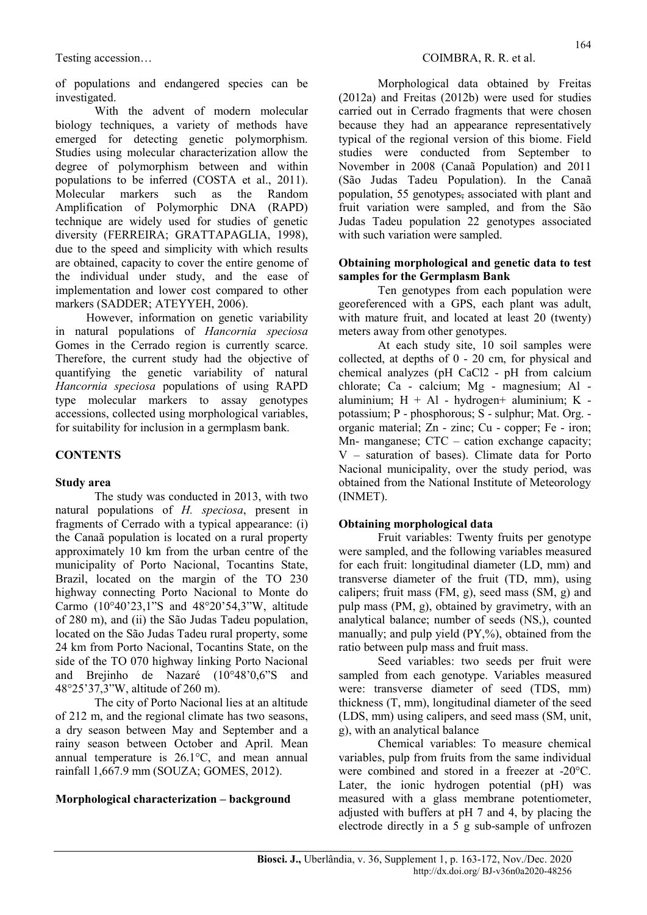of populations and endangered species can be investigated.

With the advent of modern molecular biology techniques, a variety of methods have emerged for detecting genetic polymorphism. Studies using molecular characterization allow the degree of polymorphism between and within populations to be inferred (COSTA et al., 2011). Molecular markers such as the Random Amplification of Polymorphic DNA (RAPD) technique are widely used for studies of genetic diversity (FERREIRA; GRATTAPAGLIA, 1998), due to the speed and simplicity with which results are obtained, capacity to cover the entire genome of the individual under study, and the ease of implementation and lower cost compared to other markers (SADDER; ATEYYEH, 2006).

However, information on genetic variability in natural populations of Hancornia speciosa Gomes in the Cerrado region is currently scarce. Therefore, the current study had the objective of quantifying the genetic variability of natural Hancornia speciosa populations of using RAPD type molecular markers to assay genotypes accessions, collected using morphological variables, for suitability for inclusion in a germplasm bank.

# **CONTENTS**

# Study area

The study was conducted in 2013, with two natural populations of H. speciosa, present in fragments of Cerrado with a typical appearance: (i) the Canaã population is located on a rural property approximately 10 km from the urban centre of the municipality of Porto Nacional, Tocantins State, Brazil, located on the margin of the TO 230 highway connecting Porto Nacional to Monte do Carmo (10°40'23,1"S and 48°20'54,3"W, altitude of 280 m), and (ii) the São Judas Tadeu population, located on the São Judas Tadeu rural property, some 24 km from Porto Nacional, Tocantins State, on the side of the TO 070 highway linking Porto Nacional and Brejinho de Nazaré (10°48'0,6"S and 48°25'37,3"W, altitude of 260 m).

The city of Porto Nacional lies at an altitude of 212 m, and the regional climate has two seasons, a dry season between May and September and a rainy season between October and April. Mean annual temperature is 26.1°C, and mean annual rainfall 1,667.9 mm (SOUZA; GOMES, 2012).

# Morphological characterization – background

Morphological data obtained by Freitas (2012a) and Freitas (2012b) were used for studies carried out in Cerrado fragments that were chosen because they had an appearance representatively typical of the regional version of this biome. Field studies were conducted from September to November in 2008 (Canaã Population) and 2011 (São Judas Tadeu Population). In the Canaã population, 55 genotypes, associated with plant and fruit variation were sampled, and from the São Judas Tadeu population 22 genotypes associated with such variation were sampled.

#### Obtaining morphological and genetic data to test samples for the Germplasm Bank

Ten genotypes from each population were georeferenced with a GPS, each plant was adult, with mature fruit, and located at least 20 (twenty) meters away from other genotypes.

At each study site, 10 soil samples were collected, at depths of 0 - 20 cm, for physical and chemical analyzes (pH CaCl2 - pH from calcium chlorate; Ca - calcium; Mg - magnesium; Al aluminium;  $H + Al$  - hydrogen+ aluminium;  $K$  potassium; P - phosphorous; S - sulphur; Mat. Org. organic material; Zn - zinc; Cu - copper; Fe - iron; Mn- manganese; CTC – cation exchange capacity; V – saturation of bases). Climate data for Porto Nacional municipality, over the study period, was obtained from the National Institute of Meteorology (INMET).

# Obtaining morphological data

Fruit variables: Twenty fruits per genotype were sampled, and the following variables measured for each fruit: longitudinal diameter (LD, mm) and transverse diameter of the fruit (TD, mm), using calipers; fruit mass (FM, g), seed mass (SM, g) and pulp mass (PM, g), obtained by gravimetry, with an analytical balance; number of seeds (NS,), counted manually; and pulp yield (PY,%), obtained from the ratio between pulp mass and fruit mass.

Seed variables: two seeds per fruit were sampled from each genotype. Variables measured were: transverse diameter of seed (TDS, mm) thickness (T, mm), longitudinal diameter of the seed (LDS, mm) using calipers, and seed mass (SM, unit, g), with an analytical balance

Chemical variables: To measure chemical variables, pulp from fruits from the same individual were combined and stored in a freezer at -20°C. Later, the ionic hydrogen potential (pH) was measured with a glass membrane potentiometer, adjusted with buffers at pH 7 and 4, by placing the electrode directly in a 5 g sub-sample of unfrozen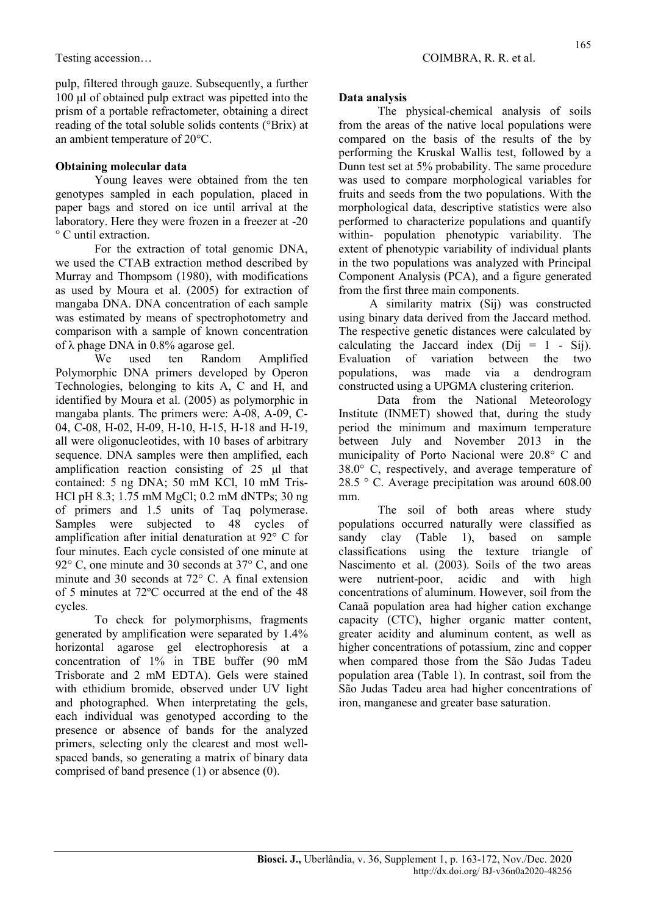pulp, filtered through gauze. Subsequently, a further 100 μl of obtained pulp extract was pipetted into the prism of a portable refractometer, obtaining a direct reading of the total soluble solids contents (°Brix) at an ambient temperature of 20°C.

# Obtaining molecular data

Young leaves were obtained from the ten genotypes sampled in each population, placed in paper bags and stored on ice until arrival at the laboratory. Here they were frozen in a freezer at -20 ° C until extraction.

For the extraction of total genomic DNA, we used the CTAB extraction method described by Murray and Thompsom (1980), with modifications as used by Moura et al. (2005) for extraction of mangaba DNA. DNA concentration of each sample was estimated by means of spectrophotometry and comparison with a sample of known concentration of λ phage DNA in  $0.8%$  agarose gel.

We used ten Random Amplified Polymorphic DNA primers developed by Operon Technologies, belonging to kits A, C and H, and identified by Moura et al. (2005) as polymorphic in mangaba plants. The primers were: A-08, A-09, C-04, C-08, H-02, H-09, H-10, H-15, H-18 and H-19, all were oligonucleotides, with 10 bases of arbitrary sequence. DNA samples were then amplified, each amplification reaction consisting of 25 μl that contained: 5 ng DNA; 50 mM KCl, 10 mM Tris-HCl pH 8.3; 1.75 mM MgCl; 0.2 mM dNTPs; 30 ng of primers and 1.5 units of Taq polymerase. Samples were subjected to 48 cycles of amplification after initial denaturation at 92° C for four minutes. Each cycle consisted of one minute at 92° C, one minute and 30 seconds at 37° C, and one minute and 30 seconds at 72° C. A final extension of 5 minutes at 72ºC occurred at the end of the 48 cycles.

To check for polymorphisms, fragments generated by amplification were separated by 1.4% horizontal agarose gel electrophoresis at a concentration of 1% in TBE buffer (90 mM Trisborate and 2 mM EDTA). Gels were stained with ethidium bromide, observed under UV light and photographed. When interpretating the gels, each individual was genotyped according to the presence or absence of bands for the analyzed primers, selecting only the clearest and most wellspaced bands, so generating a matrix of binary data comprised of band presence (1) or absence (0).

# Data analysis

The physical-chemical analysis of soils from the areas of the native local populations were compared on the basis of the results of the by performing the Kruskal Wallis test, followed by a Dunn test set at 5% probability. The same procedure was used to compare morphological variables for fruits and seeds from the two populations. With the morphological data, descriptive statistics were also performed to characterize populations and quantify within- population phenotypic variability. The extent of phenotypic variability of individual plants in the two populations was analyzed with Principal Component Analysis (PCA), and a figure generated from the first three main components.

A similarity matrix (Sij) was constructed using binary data derived from the Jaccard method. The respective genetic distances were calculated by calculating the Jaccard index  $(Dii = 1 - Sii)$ . Evaluation of variation between the two populations, was made via a dendrogram constructed using a UPGMA clustering criterion.

 Data from the National Meteorology Institute (INMET) showed that, during the study period the minimum and maximum temperature between July and November 2013 in the municipality of Porto Nacional were 20.8° C and 38.0° C, respectively, and average temperature of 28.5 ° C. Average precipitation was around 608.00 mm.

The soil of both areas where study populations occurred naturally were classified as sandy clay (Table 1), based on sample classifications using the texture triangle of Nascimento et al. (2003). Soils of the two areas were nutrient-poor, acidic and with high concentrations of aluminum. However, soil from the Canaã population area had higher cation exchange capacity (CTC), higher organic matter content, greater acidity and aluminum content, as well as higher concentrations of potassium, zinc and copper when compared those from the São Judas Tadeu population area (Table 1). In contrast, soil from the São Judas Tadeu area had higher concentrations of iron, manganese and greater base saturation.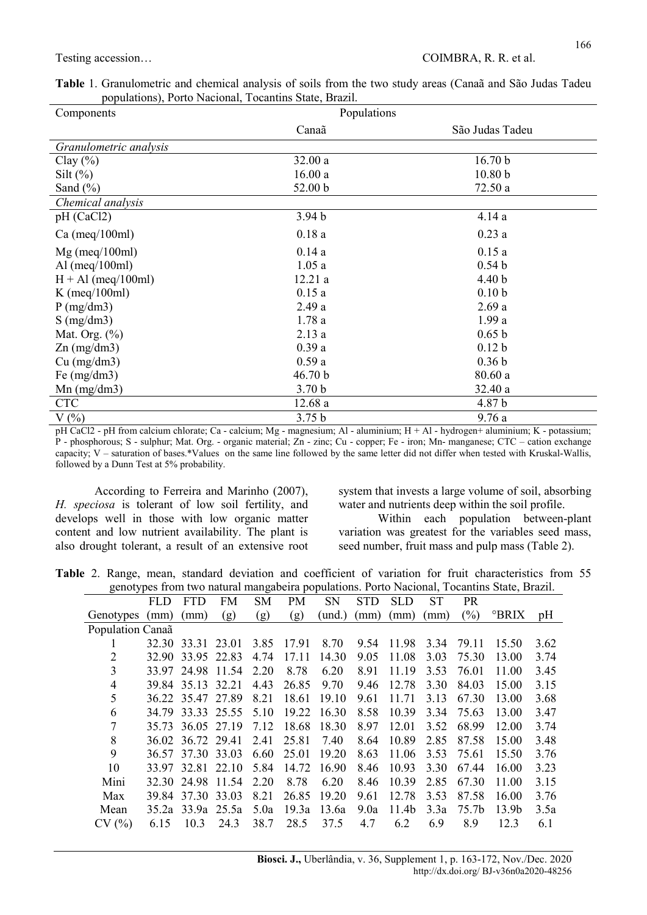| Table 1. Granulometric and chemical analysis of soils from the two study areas (Canaã and São Judas Tadeu |  |  |  |
|-----------------------------------------------------------------------------------------------------------|--|--|--|
| populations), Porto Nacional, Tocantins State, Brazil.                                                    |  |  |  |

| Components             | Populations       |                    |
|------------------------|-------------------|--------------------|
|                        | Canaã             | São Judas Tadeu    |
| Granulometric analysis |                   |                    |
| Clay $(\% )$           | 32.00a            | 16.70 b            |
| Silt $(\%)$            | 16.00a            | 10.80 <sub>b</sub> |
| Sand $(\% )$           | 52.00 b           | 72.50a             |
| Chemical analysis      |                   |                    |
| pH (CaCl2)             | 3.94 <sub>b</sub> | 4.14a              |
| $Ca$ (meq/100ml)       | 0.18a             | 0.23a              |
| $Mg$ (meq/100ml)       | 0.14a             | 0.15a              |
| Al (meq/100ml)         | 1.05a             | 0.54 <sub>b</sub>  |
| $H + Al$ (meq/100ml)   | 12.21a            | 4.40 <sub>b</sub>  |
| K (meq/100ml)          | 0.15a             | 0.10 <sub>b</sub>  |
| P(mg/dm3)              | 2.49a             | 2.69a              |
| $S$ (mg/dm3)           | 1.78a             | 1.99a              |
| Mat. Org. $(\%)$       | 2.13a             | 0.65 b             |
| $Zn$ (mg/dm3)          | 0.39a             | 0.12 <sub>b</sub>  |
| $Cu$ (mg/dm3)          | 0.59a             | 0.36 <sub>b</sub>  |
| Fe $(mg/dm3)$          | 46.70 b           | 80.60a             |
| $Mn$ (mg/dm3)          | 3.70 <sub>b</sub> | 32.40 a            |
| <b>CTC</b>             | 12.68a            | 4.87 b             |
| $V(\%)$                | 3.75 <sub>b</sub> | 9.76a              |

pH CaCl2 - pH from calcium chlorate; Ca - calcium; Mg - magnesium; Al - aluminium; H + Al - hydrogen+ aluminium; K - potassium; P - phosphorous; S - sulphur; Mat. Org. - organic material; Zn - zinc; Cu - copper; Fe - iron; Mn- manganese; CTC – cation exchange capacity; V – saturation of bases.\*Values on the same line followed by the same letter did not differ when tested with Kruskal-Wallis, followed by a Dunn Test at 5% probability.

According to Ferreira and Marinho (2007), H. speciosa is tolerant of low soil fertility, and develops well in those with low organic matter content and low nutrient availability. The plant is also drought tolerant, a result of an extensive root system that invests a large volume of soil, absorbing water and nutrients deep within the soil profile.

Within each population between-plant variation was greatest for the variables seed mass, seed number, fruit mass and pulp mass (Table 2).

Table 2. Range, mean, standard deviation and coefficient of variation for fruit characteristics from 55 genotypes from two natural mangabeira populations. Porto Nacional, Tocantins State, Brazil.

| genotypes from two natural mangabella populations. Forto ivacional, Tocantins State, Brazil. |            |                   |                   |      |       |           |            |                   |      |           |       |      |
|----------------------------------------------------------------------------------------------|------------|-------------------|-------------------|------|-------|-----------|------------|-------------------|------|-----------|-------|------|
|                                                                                              | <b>FLD</b> | <b>FTD</b>        | <b>FM</b>         | SM   | PM    | <b>SN</b> | <b>STD</b> | <b>SLD</b>        | ST   | <b>PR</b> |       |      |
| Genotypes                                                                                    | (mm)       | (mm)              | (g)               | (g)  | (g)   | (und.)    | (mm)       | (mm)              | mm)  | (%)       | °BRIX | pH   |
| Population Canaã                                                                             |            |                   |                   |      |       |           |            |                   |      |           |       |      |
| 1                                                                                            | 32.30      | 33.31 23.01       |                   | 3.85 | 17.91 | 8.70      | 9.54       | 11.98             | 3.34 | 79.11     | 15.50 | 3.62 |
| 2                                                                                            | 32.90      | 33.95 22.83       |                   | 4.74 | 17.11 | 14.30     | 9.05       | 11.08             | 3.03 | 75.30     | 13.00 | 3.74 |
| 3                                                                                            |            |                   | 33.97 24.98 11.54 | 2.20 | 8.78  | 6.20      | 8.91       | 11.19             | 3.53 | 76.01     | 11.00 | 3.45 |
| $\overline{4}$                                                                               |            | 39.84 35.13 32.21 |                   | 4.43 | 26.85 | 9.70      | 9.46       | 12.78             | 3.30 | 84.03     | 15.00 | 3.15 |
| 5                                                                                            |            | 36.22 35.47 27.89 |                   | 8.21 | 18.61 | 19.10     | 9.61       | 11.71             | 3.13 | 67.30     | 13.00 | 3.68 |
| 6                                                                                            | 34.79      | 33.33 25.55       |                   | 5.10 | 19.22 | 16.30     | 8.58       | 10.39             | 3.34 | 75.63     | 13.00 | 3.47 |
| 7                                                                                            |            | 35.73 36.05 27.19 |                   | 7.12 | 18.68 | 18.30     | 8.97       | 12.01             | 3.52 | 68.99     | 12.00 | 3.74 |
| 8                                                                                            |            | 36.02 36.72 29.41 |                   | 2.41 | 25.81 | 7.40      | 8.64       | 10.89             | 2.85 | 87.58     | 15.00 | 3.48 |
| 9                                                                                            |            | 36.57 37.30 33.03 |                   | 6.60 | 25.01 | 19.20     | 8.63       | 11.06             | 3.53 | 75.61     | 15.50 | 3.76 |
| 10                                                                                           | 33.97      | 32.81 22.10       |                   | 5.84 | 14.72 | 16.90     | 8.46       | 10.93             | 3.30 | 67.44     | 16.00 | 3.23 |
| Mini                                                                                         |            | 32.30 24.98 11.54 |                   | 2.20 | 8.78  | 6.20      | 8.46       | 10.39             | 2.85 | 67.30     | 11.00 | 3.15 |
| Max                                                                                          |            | 39.84 37.30 33.03 |                   | 8.21 | 26.85 | 19.20     | 9.61       | 12.78             | 3.53 | 87.58     | 16.00 | 3.76 |
| Mean                                                                                         |            | 35.2a 33.9a 25.5a |                   | 5.0a | 19.3a | 13.6a     | 9.0a       | 11.4 <sub>b</sub> | 3.3a | 75.7b     | 13.9b | 3.5a |
| CV(%)                                                                                        | 6.15       | 10.3              | 24.3              | 38.7 | 28.5  | 37.5      | 4.7        | 6.2               | 6.9  | 8.9       | 12.3  | 6.1  |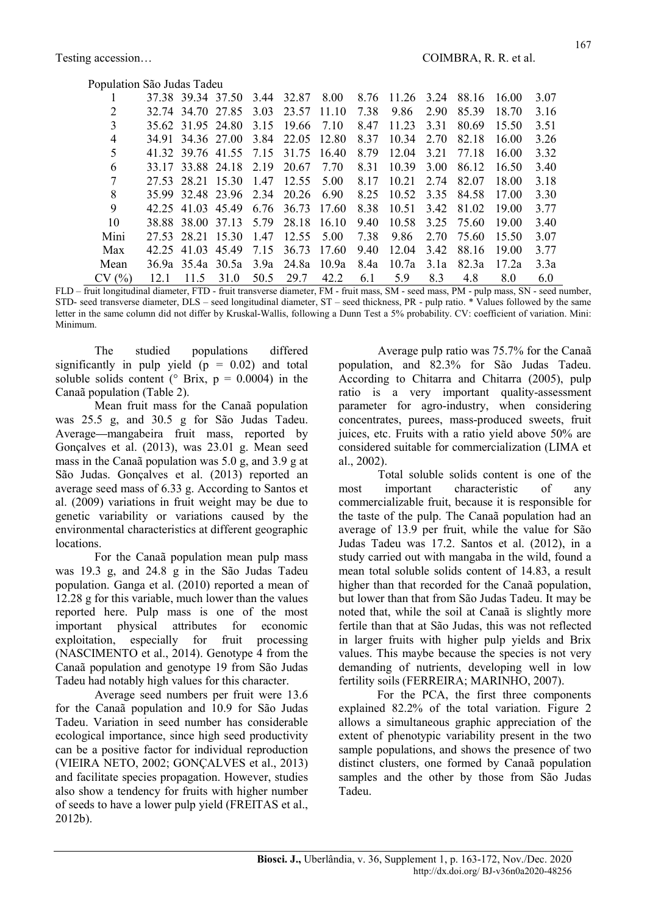| Population São Judas Tadeu |  |                   |                              |      |             |       |      |                 |      |            |       |      |
|----------------------------|--|-------------------|------------------------------|------|-------------|-------|------|-----------------|------|------------|-------|------|
|                            |  |                   | 37.38 39.34 37.50            | 3.44 | 32.87       | 8.00  |      | 8.76 11.26 3.24 |      | 88.16      | 16.00 | 3.07 |
| 2                          |  | 32.74 34.70 27.85 |                              | 3.03 | 23.57       | 11.10 | 7.38 | 9.86            | 2.90 | 85.39      | 18.70 | 3.16 |
| 3                          |  | 35.62 31.95 24.80 |                              | 3.15 | 19.66       | 7.10  | 8.47 | 11.23           | 3.31 | 80.69      | 15.50 | 3.51 |
| 4                          |  | 34.91 34.36 27.00 |                              | 3.84 | 22.05 12.80 |       | 8.37 | 10.34           | 2.70 | 82.18      | 16.00 | 3.26 |
| 5                          |  |                   | 41.32 39.76 41.55 7.15       |      | 31.75       | 16.40 | 8.79 | 12.04           | 3.21 | 77.18      | 16.00 | 3.32 |
| 6                          |  | 33.17 33.88 24.18 |                              | 2.19 | 20.67       | 7.70  | 8.31 | 10.39           | 3.00 | 86.12      | 16.50 | 3.40 |
|                            |  | 27.53 28.21 15.30 |                              | 1.47 | 12.55       | 5.00  | 8.17 | 10.21           | 2.74 | 82.07      | 18.00 | 3.18 |
| 8                          |  |                   | 35.99 32.48 23.96 2.34 20.26 |      |             | 6.90  | 8.25 | 10.52           |      | 3.35 84.58 | 17.00 | 3.30 |
| 9                          |  | 42.25 41.03 45.49 |                              | 6.76 | 36.73       | 17.60 | 8.38 | 10.51           | 3.42 | 81.02      | 19.00 | 3.77 |
| 10                         |  | 38.88 38.00 37.13 |                              | 5.79 | 28.18       | 16.10 | 9.40 | 10.58           |      | 3.25 75.60 | 19.00 | 3.40 |
| Mini                       |  | 27.53 28.21 15.30 |                              | 1.47 | 12.55       | 5.00  | 7.38 | 9.86            | 2.70 | 75.60      | 15.50 | 3.07 |
| Max                        |  | 42.25 41.03 45.49 |                              | 7.15 | 36.73       | 17.60 | 9.40 | 12.04           | 3.42 | 88.16      | 19.00 | 3.77 |
| Mean                       |  | 36.9a 35.4a 30.5a |                              | 3.9a | 24.8a       | 10.9a | 8.4a | 10.7a           | 3.1a | 82.3a      | 17.2a | 3.3a |
| CV(%)                      |  | 11.5              | 31.0                         | 50.5 | 29.7        | 42.2  | 6.1  | 5.9             | 8.3  | 4.8        | 8.0   | 6.0  |

FLD – fruit longitudinal diameter, FTD - fruit transverse diameter, FM - fruit mass, SM - seed mass, PM - pulp mass, SN - seed number, STD- seed transverse diameter, DLS – seed longitudinal diameter, ST – seed thickness, PR - pulp ratio. \* Values followed by the same letter in the same column did not differ by Kruskal-Wallis, following a Dunn Test a 5% probability. CV: coefficient of variation. Mini: Minimum.

The studied populations differed significantly in pulp yield  $(p = 0.02)$  and total soluble solids content ( $\degree$  Brix, p = 0.0004) in the Canaã population (Table 2).

Mean fruit mass for the Canaã population was 25.5 g, and 30.5 g for São Judas Tadeu. Average mangabeira fruit mass, reported by Gonçalves et al. (2013), was 23.01 g. Mean seed mass in the Canaã population was 5.0 g, and 3.9 g at São Judas. Gonçalves et al. (2013) reported an average seed mass of 6.33 g. According to Santos et al. (2009) variations in fruit weight may be due to genetic variability or variations caused by the environmental characteristics at different geographic locations.

For the Canaã population mean pulp mass was 19.3 g, and 24.8 g in the São Judas Tadeu population. Ganga et al. (2010) reported a mean of 12.28 g for this variable, much lower than the values reported here. Pulp mass is one of the most important physical attributes for economic exploitation, especially for fruit processing (NASCIMENTO et al., 2014). Genotype 4 from the Canaã population and genotype 19 from São Judas Tadeu had notably high values for this character.

Average seed numbers per fruit were 13.6 for the Canaã population and 10.9 for São Judas Tadeu. Variation in seed number has considerable ecological importance, since high seed productivity can be a positive factor for individual reproduction (VIEIRA NETO, 2002; GONÇALVES et al., 2013) and facilitate species propagation. However, studies also show a tendency for fruits with higher number of seeds to have a lower pulp yield (FREITAS et al., 2012b).

Average pulp ratio was 75.7% for the Canaã population, and 82.3% for São Judas Tadeu. According to Chitarra and Chitarra (2005), pulp ratio is a very important quality-assessment parameter for agro-industry, when considering concentrates, purees, mass-produced sweets, fruit juices, etc. Fruits with a ratio yield above 50% are considered suitable for commercialization (LIMA et al., 2002).

Total soluble solids content is one of the most important characteristic of any commercializable fruit, because it is responsible for the taste of the pulp. The Canaã population had an average of 13.9 per fruit, while the value for São Judas Tadeu was 17.2. Santos et al. (2012), in a study carried out with mangaba in the wild, found a mean total soluble solids content of 14.83, a result higher than that recorded for the Canaã population, but lower than that from São Judas Tadeu. It may be noted that, while the soil at Canaã is slightly more fertile than that at São Judas, this was not reflected in larger fruits with higher pulp yields and Brix values. This maybe because the species is not very demanding of nutrients, developing well in low fertility soils (FERREIRA; MARINHO, 2007).

For the PCA, the first three components explained 82.2% of the total variation. Figure 2 allows a simultaneous graphic appreciation of the extent of phenotypic variability present in the two sample populations, and shows the presence of two distinct clusters, one formed by Canaã population samples and the other by those from São Judas Tadeu.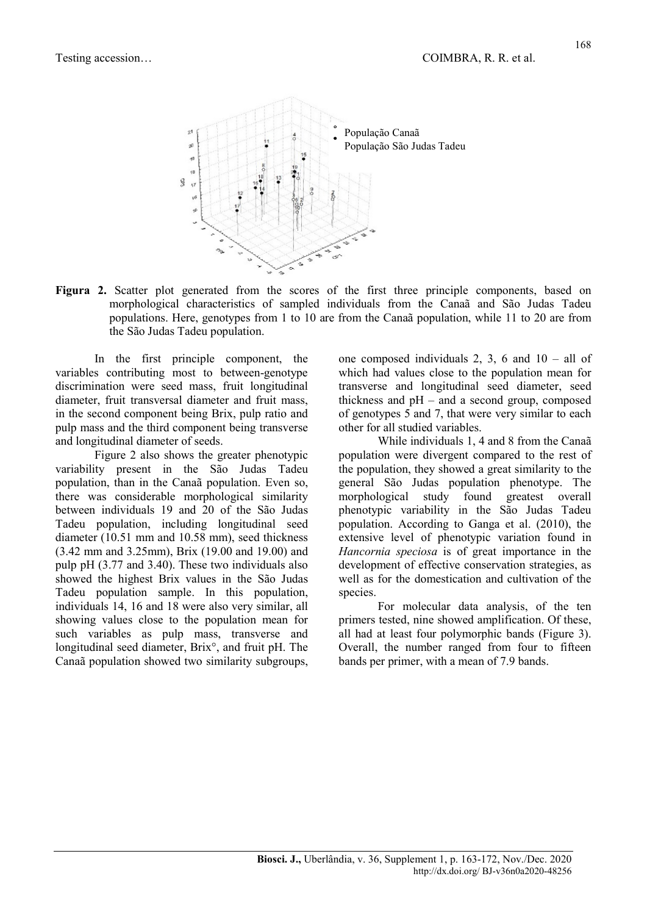

Figura 2. Scatter plot generated from the scores of the first three principle components, based on morphological characteristics of sampled individuals from the Canaã and São Judas Tadeu populations. Here, genotypes from 1 to 10 are from the Canaã population, while 11 to 20 are from the São Judas Tadeu population.

In the first principle component, the variables contributing most to between-genotype discrimination were seed mass, fruit longitudinal diameter, fruit transversal diameter and fruit mass, in the second component being Brix, pulp ratio and pulp mass and the third component being transverse and longitudinal diameter of seeds.

Figure 2 also shows the greater phenotypic variability present in the São Judas Tadeu population, than in the Canaã population. Even so, there was considerable morphological similarity between individuals 19 and 20 of the São Judas Tadeu population, including longitudinal seed diameter (10.51 mm and 10.58 mm), seed thickness (3.42 mm and 3.25mm), Brix (19.00 and 19.00) and pulp pH (3.77 and 3.40). These two individuals also showed the highest Brix values in the São Judas Tadeu population sample. In this population, individuals 14, 16 and 18 were also very similar, all showing values close to the population mean for such variables as pulp mass, transverse and longitudinal seed diameter, Brix°, and fruit pH. The Canaã population showed two similarity subgroups, one composed individuals 2, 3, 6 and  $10 -$  all of which had values close to the population mean for transverse and longitudinal seed diameter, seed thickness and  $pH$  – and a second group, composed of genotypes 5 and 7, that were very similar to each other for all studied variables.

While individuals 1, 4 and 8 from the Canaã population were divergent compared to the rest of the population, they showed a great similarity to the general São Judas population phenotype. The morphological study found greatest overall phenotypic variability in the São Judas Tadeu population. According to Ganga et al. (2010), the extensive level of phenotypic variation found in Hancornia speciosa is of great importance in the development of effective conservation strategies, as well as for the domestication and cultivation of the species.

For molecular data analysis, of the ten primers tested, nine showed amplification. Of these, all had at least four polymorphic bands (Figure 3). Overall, the number ranged from four to fifteen bands per primer, with a mean of 7.9 bands.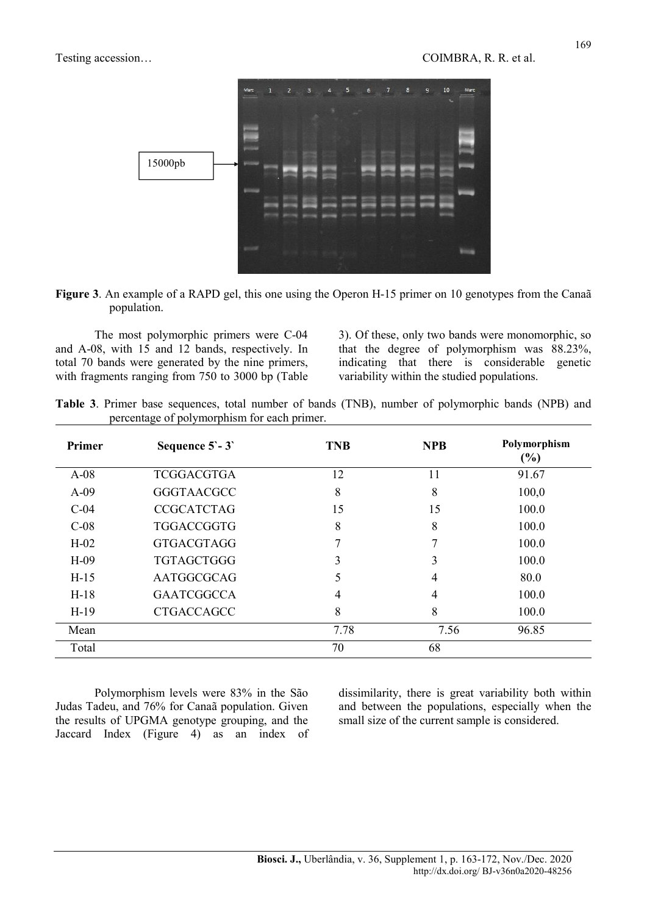

| Figure 3. An example of a RAPD gel, this one using the Operon H-15 primer on 10 genotypes from the Canaã |  |  |
|----------------------------------------------------------------------------------------------------------|--|--|
| population.                                                                                              |  |  |

The most polymorphic primers were C-04 and A-08, with 15 and 12 bands, respectively. In total 70 bands were generated by the nine primers, with fragments ranging from 750 to 3000 bp (Table 3). Of these, only two bands were monomorphic, so that the degree of polymorphism was 88.23%, indicating that there is considerable genetic variability within the studied populations.

|  | Table 3. Primer base sequences, total number of bands (TNB), number of polymorphic bands (NPB) and |  |  |  |  |  |
|--|----------------------------------------------------------------------------------------------------|--|--|--|--|--|
|  | percentage of polymorphism for each primer.                                                        |  |  |  |  |  |

| Primer | Sequence $5 - 3$  | <b>TNB</b> | <b>NPB</b> | Polymorphism<br>$(\%)$ |
|--------|-------------------|------------|------------|------------------------|
| $A-08$ | <b>TCGGACGTGA</b> | 12         | 11         | 91.67                  |
| $A-09$ | <b>GGGTAACGCC</b> | 8          | 8          | 100,0                  |
| $C-04$ | <b>CCGCATCTAG</b> | 15         | 15         | 100.0                  |
| $C-08$ | <b>TGGACCGGTG</b> | 8          | 8          | 100.0                  |
| $H-02$ | <b>GTGACGTAGG</b> |            |            | 100.0                  |
| $H-09$ | <b>TGTAGCTGGG</b> | 3          | 3          | 100.0                  |
| $H-15$ | AATGGCGCAG        | ć          | 4          | 80.0                   |
| $H-18$ | <b>GAATCGGCCA</b> | 4          | 4          | 100.0                  |
| $H-19$ | <b>CTGACCAGCC</b> | 8          | 8          | 100.0                  |
| Mean   |                   | 7.78       | 7.56       | 96.85                  |
| Total  |                   | 70         | 68         |                        |

Polymorphism levels were 83% in the São Judas Tadeu, and 76% for Canaã population. Given the results of UPGMA genotype grouping, and the Jaccard Index (Figure 4) as an index of dissimilarity, there is great variability both within and between the populations, especially when the small size of the current sample is considered.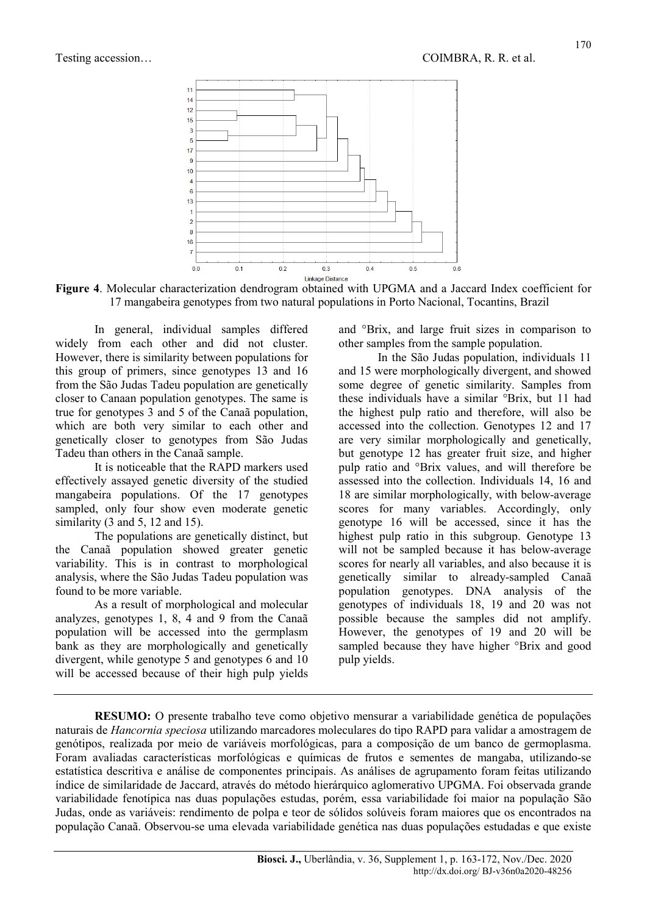

Figure 4. Molecular characterization dendrogram obtained with UPGMA and a Jaccard Index coefficient for 17 mangabeira genotypes from two natural populations in Porto Nacional, Tocantins, Brazil

In general, individual samples differed widely from each other and did not cluster. However, there is similarity between populations for this group of primers, since genotypes 13 and 16 from the São Judas Tadeu population are genetically closer to Canaan population genotypes. The same is true for genotypes 3 and 5 of the Canaã population, which are both very similar to each other and genetically closer to genotypes from São Judas Tadeu than others in the Canaã sample.

It is noticeable that the RAPD markers used effectively assayed genetic diversity of the studied mangabeira populations. Of the 17 genotypes sampled, only four show even moderate genetic similarity (3 and 5, 12 and 15).

The populations are genetically distinct, but the Canaã population showed greater genetic variability. This is in contrast to morphological analysis, where the São Judas Tadeu population was found to be more variable.

As a result of morphological and molecular analyzes, genotypes 1, 8, 4 and 9 from the Canaã population will be accessed into the germplasm bank as they are morphologically and genetically divergent, while genotype 5 and genotypes 6 and 10 will be accessed because of their high pulp yields and °Brix, and large fruit sizes in comparison to other samples from the sample population.

In the São Judas population, individuals 11 and 15 were morphologically divergent, and showed some degree of genetic similarity. Samples from these individuals have a similar °Brix, but 11 had the highest pulp ratio and therefore, will also be accessed into the collection. Genotypes 12 and 17 are very similar morphologically and genetically, but genotype 12 has greater fruit size, and higher pulp ratio and °Brix values, and will therefore be assessed into the collection. Individuals 14, 16 and 18 are similar morphologically, with below-average scores for many variables. Accordingly, only genotype 16 will be accessed, since it has the highest pulp ratio in this subgroup. Genotype 13 will not be sampled because it has below-average scores for nearly all variables, and also because it is genetically similar to already-sampled Canaã population genotypes. DNA analysis of the genotypes of individuals 18, 19 and 20 was not possible because the samples did not amplify. However, the genotypes of 19 and 20 will be sampled because they have higher °Brix and good pulp yields.

RESUMO: O presente trabalho teve como objetivo mensurar a variabilidade genética de populações naturais de Hancornia speciosa utilizando marcadores moleculares do tipo RAPD para validar a amostragem de genótipos, realizada por meio de variáveis morfológicas, para a composição de um banco de germoplasma. Foram avaliadas características morfológicas e químicas de frutos e sementes de mangaba, utilizando-se estatística descritiva e análise de componentes principais. As análises de agrupamento foram feitas utilizando índice de similaridade de Jaccard, através do método hierárquico aglomerativo UPGMA. Foi observada grande variabilidade fenotípica nas duas populações estudas, porém, essa variabilidade foi maior na população São Judas, onde as variáveis: rendimento de polpa e teor de sólidos solúveis foram maiores que os encontrados na população Canaã. Observou-se uma elevada variabilidade genética nas duas populações estudadas e que existe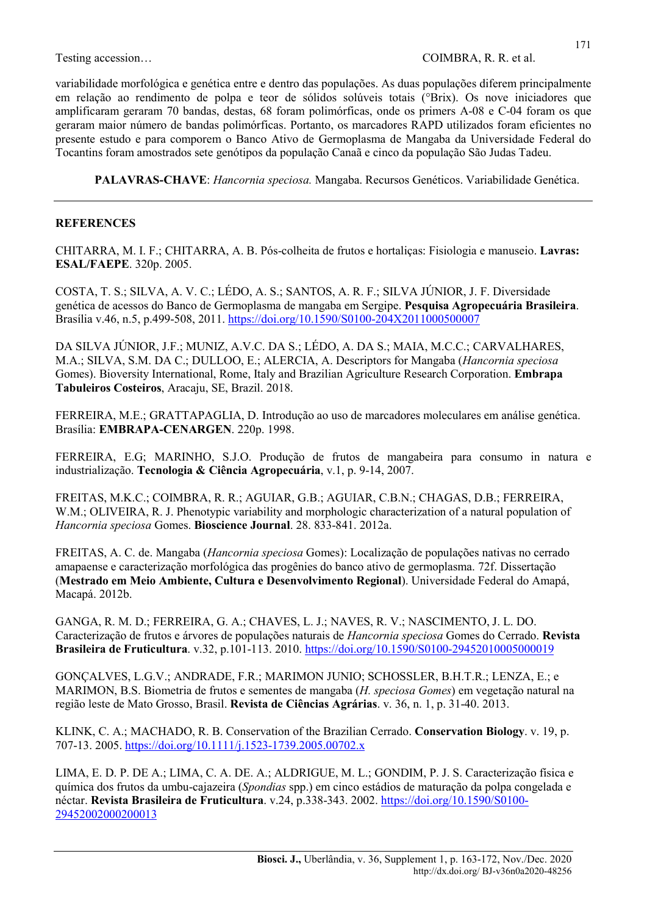variabilidade morfológica e genética entre e dentro das populações. As duas populações diferem principalmente em relação ao rendimento de polpa e teor de sólidos solúveis totais (°Brix). Os nove iniciadores que amplificaram geraram 70 bandas, destas, 68 foram polimórficas, onde os primers A-08 e C-04 foram os que geraram maior número de bandas polimórficas. Portanto, os marcadores RAPD utilizados foram eficientes no presente estudo e para comporem o Banco Ativo de Germoplasma de Mangaba da Universidade Federal do Tocantins foram amostrados sete genótipos da população Canaã e cinco da população São Judas Tadeu.

PALAVRAS-CHAVE: Hancornia speciosa. Mangaba. Recursos Genéticos. Variabilidade Genética.

#### **REFERENCES**

CHITARRA, M. I. F.; CHITARRA, A. B. Pós-colheita de frutos e hortaliças: Fisiologia e manuseio. Lavras: ESAL/FAEPE. 320p. 2005.

COSTA, T. S.; SILVA, A. V. C.; LÉDO, A. S.; SANTOS, A. R. F.; SILVA JÚNIOR, J. F. Diversidade genética de acessos do Banco de Germoplasma de mangaba em Sergipe. Pesquisa Agropecuária Brasileira. Brasília v.46, n.5, p.499-508, 2011. https://doi.org/10.1590/S0100-204X2011000500007

DA SILVA JÚNIOR, J.F.; MUNIZ, A.V.C. DA S.; LÉDO, A. DA S.; MAIA, M.C.C.; CARVALHARES, M.A.; SILVA, S.M. DA C.; DULLOO, E.; ALERCIA, A. Descriptors for Mangaba (Hancornia speciosa Gomes). Bioversity International, Rome, Italy and Brazilian Agriculture Research Corporation. Embrapa Tabuleiros Costeiros, Aracaju, SE, Brazil. 2018.

FERREIRA, M.E.; GRATTAPAGLIA, D. Introdução ao uso de marcadores moleculares em análise genética. Brasília: EMBRAPA-CENARGEN. 220p. 1998.

FERREIRA, E.G; MARINHO, S.J.O. Produção de frutos de mangabeira para consumo in natura e industrialização. Tecnologia & Ciência Agropecuária, v.1, p. 9-14, 2007.

FREITAS, M.K.C.; COIMBRA, R. R.; AGUIAR, G.B.; AGUIAR, C.B.N.; CHAGAS, D.B.; FERREIRA, W.M.; OLIVEIRA, R. J. Phenotypic variability and morphologic characterization of a natural population of Hancornia speciosa Gomes. Bioscience Journal. 28. 833-841. 2012a.

FREITAS, A. C. de. Mangaba (Hancornia speciosa Gomes): Localização de populações nativas no cerrado amapaense e caracterização morfológica das progênies do banco ativo de germoplasma. 72f. Dissertação (Mestrado em Meio Ambiente, Cultura e Desenvolvimento Regional). Universidade Federal do Amapá, Macapá. 2012b.

GANGA, R. M. D.; FERREIRA, G. A.; CHAVES, L. J.; NAVES, R. V.; NASCIMENTO, J. L. DO. Caracterização de frutos e árvores de populações naturais de Hancornia speciosa Gomes do Cerrado. Revista **Brasileira de Fruticultura.** v.32, p.101-113. 2010. https://doi.org/10.1590/S0100-29452010005000019

GONÇALVES, L.G.V.; ANDRADE, F.R.; MARIMON JUNIO; SCHOSSLER, B.H.T.R.; LENZA, E.; e MARIMON, B.S. Biometria de frutos e sementes de mangaba (H. speciosa Gomes) em vegetação natural na região leste de Mato Grosso, Brasil. Revista de Ciências Agrárias. v. 36, n. 1, p. 31-40. 2013.

KLINK, C. A.; MACHADO, R. B. Conservation of the Brazilian Cerrado. Conservation Biology. v. 19, p. 707-13. 2005. https://doi.org/10.1111/j.1523-1739.2005.00702.x

LIMA, E. D. P. DE A.; LIMA, C. A. DE. A.; ALDRIGUE, M. L.; GONDIM, P. J. S. Caracterização física e química dos frutos da umbu-cajazeira (Spondias spp.) em cinco estádios de maturação da polpa congelada e néctar. Revista Brasileira de Fruticultura. v.24, p.338-343. 2002. https://doi.org/10.1590/S0100- 29452002000200013